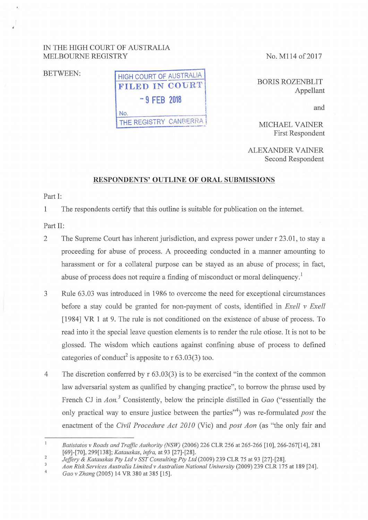## IN THE HIGH COURT OF AUSTRALIA MELBOURNE REGISTRY No. M114 of 2017



BORIS ROZENBLIT Appellant

and

MICHAEL VAINER First Respondent

ALEXANDER VAINER Second Respondent

## **RESPONDENTS' OUTLINE OF ORAL SUBMISSIONS**

Part I:

1 The respondents certify that this outline is suitable for publication on the internet.

Part II:

 $1\,$ 

- 2 The Supreme Court has inherent jurisdiction, and express power under r 23.01, to stay a proceeding for abuse of process. A proceeding conducted in a manner amounting to harassment or for a collateral purpose can be stayed as an abuse of process; in fact, abuse of process does not require a finding of misconduct or moral delinquency.<sup>1</sup>
- 3 Rule 63.03 was introduced in 19R6 to overcome the need for exceptional circumstances before a stay could be granted for non-payment of costs, identified in *Exell v Exell*  [1984] VR 1 at 9. The rule is not conditioned on the existence of abuse of process. To read into it the special leave question elements is to render the rule otiose. It is not to be glossed. The wisdom which cautions against confining abuse of process to defined categories of conduct<sup>2</sup> is apposite to  $r$  63.03(3) too.
- 4 The discretion conferred by r 63.03(3) is to be exercised "in the context of the common law adversarial system as qualified by changing practice", to borrow the phrase used by French CJ in *Aon.*<sup>3</sup> Consistently, below the principle distilled in *Gao* ("essentially the only practical way to ensure justice between the parties"<sup>4</sup> ) was re-formulated *post* the enactment of the *Civil Procedure Act 2010* (Vie) and *post Aon* (as "the only fair and

 $\overline{\mathbf{3}}$ *A on Risk Services Australia Limited v Australian National University* (2009) 239 CLR 175 at 189 [24].

*Batistatos v Roads and Traffic Authority (NSW)* (2006) 226 CLR 256 at 265-266 [10], 266-267[14], 281 [69]-[70], 299[138]; *Katauskas, infra,* at 93 [27]-[28].

<sup>2</sup>  *Jeffery* & *Katauskas Pty Ltd v SST Consulting Pty Ltd* (2009) 239 CLR 75 at 93 [27]-[28].

<sup>4</sup>  *Gao v Zhang* (2005) 14 VR 380 at 385 [15].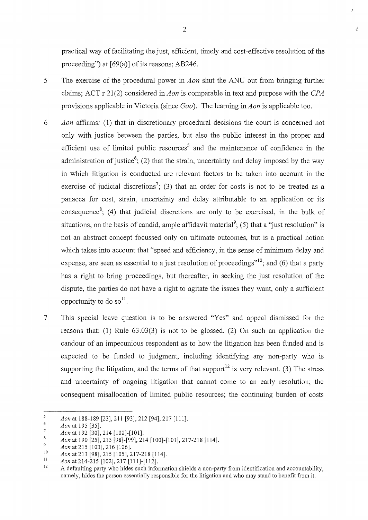practical way of facilitating the just, efficient, timely and cost-effective resolution of the proceeding") at [69(a)] of its reasons; AB246.

- 5 The exercise of the procedural power in *Aon* shut the ANU out from bringing further claims; ACT r 21(2) considered in *Aon* is comparable in text and purpose with the *CPA* provisions applicable in Victoria (since *Gao* ). The learning in *A on* is applicable too.
- 6 *Aon* affirms: (1) that in discretionary procedural decisions the court is concerned not only with justice between the parties, but also the public interest in the proper and efficient use of limited public resources<sup>5</sup> and the maintenance of confidence in the administration of justice<sup>6</sup>; (2) that the strain, uncertainty and delay imposed by the way in which litigation is conducted are relevant factors to be taken into account in the exercise of judicial discretions<sup>7</sup>; (3) that an order for costs is not to be treated as a panacea for cost, strain, uncertainty and delay attributable to an application or its consequence<sup>8</sup>; (4) that judicial discretions are only to be exercised, in the bulk of situations, on the basis of candid, ample affidavit material<sup>9</sup>; (5) that a "just resolution" is not an abstract concept focussed only on ultimate outcomes, but is a practical notion which takes into account that "speed and efficiency, in the sense of minimum delay and expense, are seen as essential to a just resolution of proceedings"<sup>10</sup>; and (6) that a party has a right to bring proceedings, but thereafter, in seeking the just resolution of the dispute, the parties do not have a right to agitate the issues they want, only a sufficient opportunity to do so<sup>11</sup>.
- 7 This special leave question is to be answered "Yes" and appeal dismissed for the reasons that: (1) Rule 63.03(3) is not to be glossed. (2) On such an application the candour of an impecunious respondent as to how the litigation has been funded and is expected to be funded to judgment, including identifying any non-party who is supporting the litigation, and the terms of that support<sup>12</sup> is very relevant. (3) The stress and uncertainty of ongoing litigation that cannot come to an early resolution; the consequent misallocation of limited public resources; the continuing burden of costs

 $\overline{5}$ *Aonat* 188-189 [23],211 [93],212 [94],217 [111].

 $\ddot{6}$ *Aon* at 195 [35].  $\overline{7}$ 

*Aon* at 192 [30], 214 [100]-[101].

 $\mathbf{\hat{R}}$ *Aon* at 190 [25], 213 [98]-[99], 214 [100]-[101], 217-218 [114].

 $\mathbf{Q}$ *Aon* at 215 [103], 216 [106].

<sup>10</sup>  *Aon* at 213 [98], 215 [105], 217-218 [114].

<sup>11</sup>  *Aon* at 214-215 [102], 217 [111]-[112].

<sup>12</sup>  A defaulting party who hides such information shields a non-party from identification and accountability, namely, hides the person essentially responsible for the litigation and who may stand to benefit from it.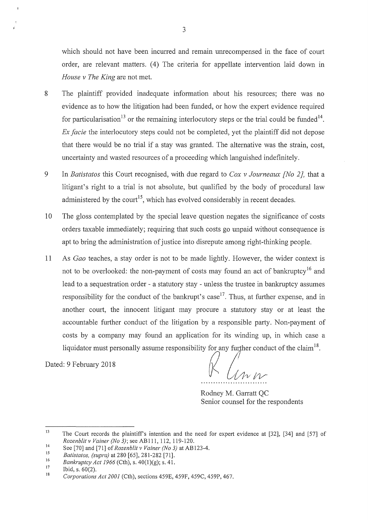- 8 The plaintiff provided inadequate information about his resources; there was no evidence as to how the litigation had been funded, or how the expert evidence required for particularisation<sup>13</sup> or the remaining interlocutory steps or the trial could be funded<sup>14</sup>. *Ex facie* the interlocutory steps could not be completed, yet the plaintiff did not depose that there would be no trial if a stay was granted. The alternative was the strain, cost, uncertainty and wasted resources of a proceeding which languished indefinitely.
- 9 In *Batistatos* this Court recognised, with due regard to *Cox v Journeaux [No 2]*, that a litigant's right to a trial is not absolute, but qualified by the body of procedural law administered by the court<sup>15</sup>, which has evolved considerably in recent decades.
- 10 The gloss contemplated by the special leave question negates the significance of costs orders taxable immediately; requiring that such costs go unpaid without consequence is apt to bring the administration of justice into disrepute among right-thinking people.
- 11 As *Gao* teaches, a stay order is not to be made lightly. However, the wider context is not to be overlooked: the non-payment of costs may found an act of bankruptcy<sup>16</sup> and lead to a sequestration order - a statutory stay - unless the trustee in bankruptcy assumes responsibility for the conduct of the bankrupt's case<sup>17</sup>. Thus, at further expense, and in another court, the innocent litigant may procure a statutory stay or at least the accountable further conduct of the litigation by a responsible party. Non-payment of costs by a company may found an application for its winding up, in which case a liquidator must personally assume responsibility for any further conduct of the claim<sup>18</sup>.

Dated: 9 February 2018

(~ (/01/ *11/* 

Rodney M. Garratt QC Senior counsel for the respondents

<sup>13</sup>  The Court records the plaintiffs intention and the need for expert evidence at [32], [34] and [57] of *Rozenblit v Vainer (No 3);* see AB 111, 112, 119-120.

<sup>14</sup>  See [70] and [71] of *Rozenblit v Vainer (No 3)* at AB 123-4.

<sup>15</sup>  16 *Batistatos, (supra)* at 280 [65], 281-282 [71].

<sup>17</sup>  *Bankruptcy Act 1966* (Cth), s. 40(l)(g); s. 41.

Ibid, s. 60(2).

<sup>18</sup>  *Corporations Act 2001* (Cth), sections 459E, 459F, 459C, 459P, 467.